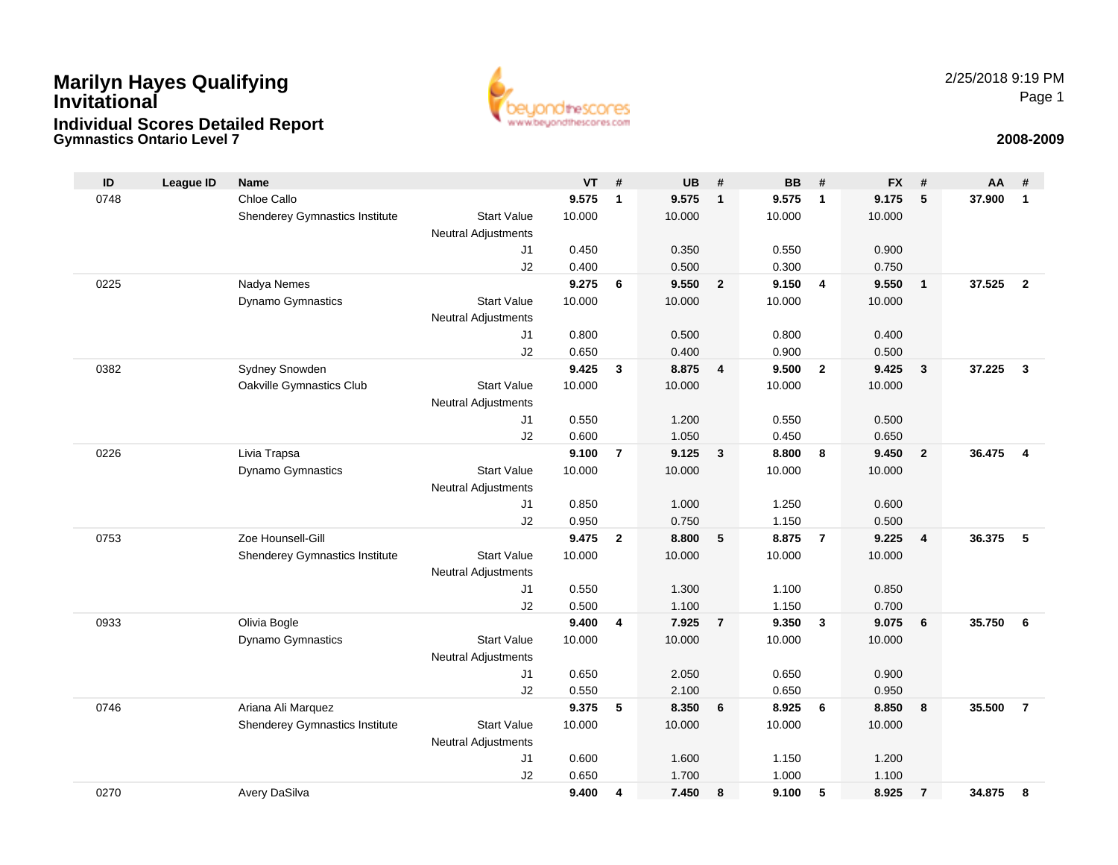## **Gymnastics Ontario Level 7 2008-2009 Marilyn Hayes Qualifying InvitationalIndividual Scores Detailed Report**



| ID   | <b>League ID</b> | <b>Name</b>                    |                            | <b>VT</b> | #              | <b>UB</b>      | #              | <b>BB</b>      | #              | <b>FX</b>      | #                       | AA     | #                       |
|------|------------------|--------------------------------|----------------------------|-----------|----------------|----------------|----------------|----------------|----------------|----------------|-------------------------|--------|-------------------------|
| 0748 |                  | Chloe Callo                    |                            | 9.575     | $\mathbf{1}$   | 9.575          | $\mathbf{1}$   | 9.575          | $\mathbf{1}$   | 9.175          | 5                       | 37.900 | $\mathbf{1}$            |
|      |                  | Shenderey Gymnastics Institute | <b>Start Value</b>         | 10.000    |                | 10.000         |                | 10.000         |                | 10.000         |                         |        |                         |
|      |                  |                                | <b>Neutral Adjustments</b> |           |                |                |                |                |                |                |                         |        |                         |
|      |                  |                                | J1                         | 0.450     |                | 0.350          |                | 0.550          |                | 0.900          |                         |        |                         |
|      |                  |                                | J2                         | 0.400     |                | 0.500          |                | 0.300          |                | 0.750          |                         |        |                         |
| 0225 |                  | Nadya Nemes                    |                            | 9.275     | 6              | 9.550          | $\overline{2}$ | 9.150          | $\overline{4}$ | 9.550          | $\overline{1}$          | 37.525 | $\overline{2}$          |
|      |                  | Dynamo Gymnastics              | <b>Start Value</b>         | 10.000    |                | 10.000         |                | 10.000         |                | 10.000         |                         |        |                         |
|      |                  |                                | <b>Neutral Adjustments</b> |           |                |                |                |                |                |                |                         |        |                         |
|      |                  |                                | J1                         | 0.800     |                | 0.500          |                | 0.800          |                | 0.400          |                         |        |                         |
|      |                  |                                | J2                         | 0.650     |                | 0.400          |                | 0.900          |                | 0.500          |                         |        |                         |
| 0382 |                  | Sydney Snowden                 |                            | 9.425     | 3              | 8.875          | 4              | 9.500          | $\mathbf{2}$   | 9.425          | $\mathbf{3}$            | 37.225 | $\mathbf{3}$            |
|      |                  | Oakville Gymnastics Club       | <b>Start Value</b>         | 10.000    |                | 10.000         |                | 10.000         |                | 10.000         |                         |        |                         |
|      |                  |                                | <b>Neutral Adjustments</b> | 0.550     |                |                |                |                |                |                |                         |        |                         |
|      |                  |                                | J1<br>J2                   | 0.600     |                | 1.200<br>1.050 |                | 0.550<br>0.450 |                | 0.500<br>0.650 |                         |        |                         |
| 0226 |                  | Livia Trapsa                   |                            | 9.100     | $\overline{7}$ | 9.125          | $\mathbf{3}$   | 8.800          | 8              | 9.450          | $\overline{2}$          | 36.475 | $\overline{\mathbf{4}}$ |
|      |                  | <b>Dynamo Gymnastics</b>       | <b>Start Value</b>         | 10.000    |                | 10.000         |                | 10.000         |                | 10.000         |                         |        |                         |
|      |                  |                                | <b>Neutral Adjustments</b> |           |                |                |                |                |                |                |                         |        |                         |
|      |                  |                                | J1                         | 0.850     |                | 1.000          |                | 1.250          |                | 0.600          |                         |        |                         |
|      |                  |                                | J2                         | 0.950     |                | 0.750          |                | 1.150          |                | 0.500          |                         |        |                         |
| 0753 |                  | Zoe Hounsell-Gill              |                            | 9.475     | $\mathbf{2}$   | 8.800          | 5              | 8.875          | $\overline{7}$ | 9.225          | $\overline{\mathbf{4}}$ | 36.375 | 5                       |
|      |                  | Shenderey Gymnastics Institute | <b>Start Value</b>         | 10.000    |                | 10.000         |                | 10.000         |                | 10.000         |                         |        |                         |
|      |                  |                                | <b>Neutral Adjustments</b> |           |                |                |                |                |                |                |                         |        |                         |
|      |                  |                                | J1                         | 0.550     |                | 1.300          |                | 1.100          |                | 0.850          |                         |        |                         |
|      |                  |                                | J2                         | 0.500     |                | 1.100          |                | 1.150          |                | 0.700          |                         |        |                         |
| 0933 |                  | Olivia Bogle                   |                            | 9.400     | 4              | 7.925          | $\overline{7}$ | 9.350          | $\mathbf{3}$   | 9.075          | 6                       | 35.750 | 6                       |
|      |                  | <b>Dynamo Gymnastics</b>       | <b>Start Value</b>         | 10.000    |                | 10.000         |                | 10.000         |                | 10.000         |                         |        |                         |
|      |                  |                                | <b>Neutral Adjustments</b> |           |                |                |                |                |                |                |                         |        |                         |
|      |                  |                                | J1                         | 0.650     |                | 2.050          |                | 0.650          |                | 0.900          |                         |        |                         |
|      |                  |                                | J2                         | 0.550     |                | 2.100          |                | 0.650          |                | 0.950          |                         |        |                         |
| 0746 |                  | Ariana Ali Marquez             |                            | 9.375     | 5              | 8.350          | 6              | 8.925          | 6              | 8.850          | 8                       | 35.500 | $\overline{7}$          |
|      |                  | Shenderey Gymnastics Institute | <b>Start Value</b>         | 10.000    |                | 10.000         |                | 10.000         |                | 10.000         |                         |        |                         |
|      |                  |                                | <b>Neutral Adjustments</b> |           |                |                |                |                |                |                |                         |        |                         |
|      |                  |                                | J1                         | 0.600     |                | 1.600          |                | 1.150          |                | 1.200          |                         |        |                         |
|      |                  |                                | J2                         | 0.650     |                | 1.700          |                | 1.000          |                | 1.100          |                         |        |                         |
| 0270 |                  | Avery DaSilva                  |                            | 9.400     | 4              | 7.450          | 8              | 9.100          | 5              | 8.925          | $\overline{7}$          | 34.875 | 8                       |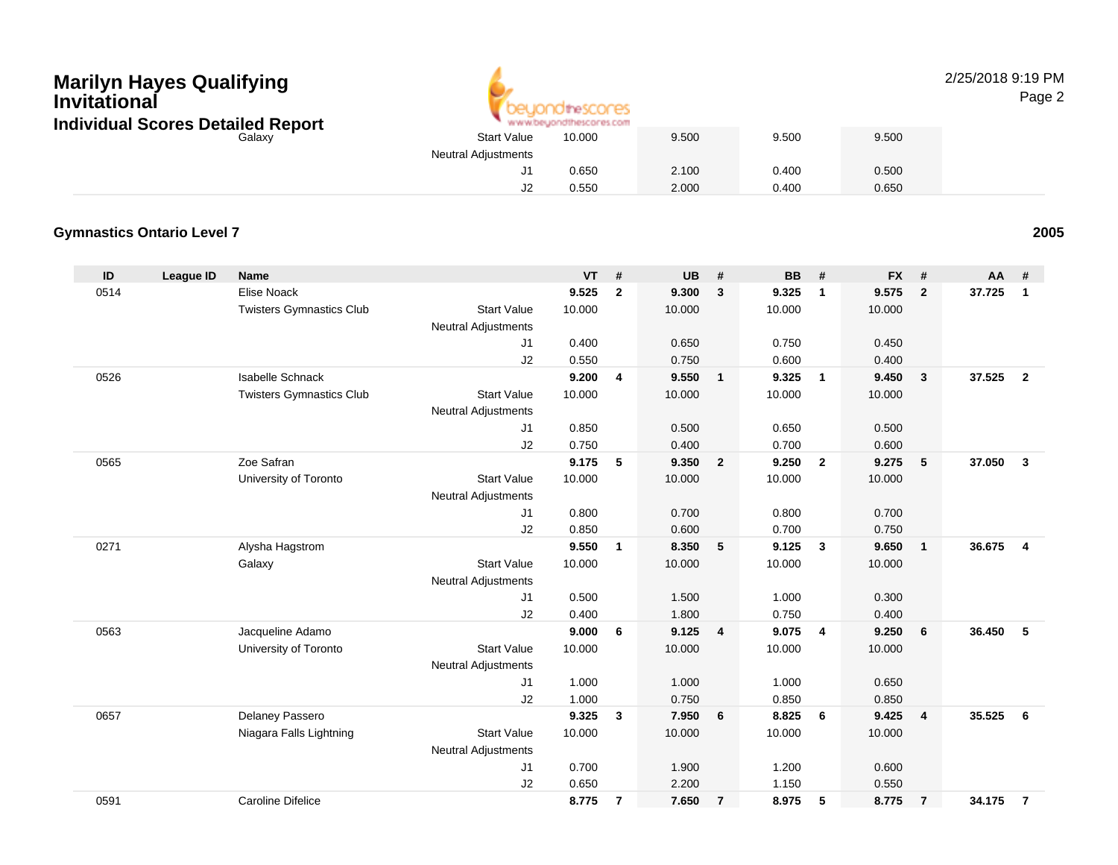# **Marilyn Hayes Qualifying InvitationalIndividual Scores Detailed Report**



#### 2/25/2018 9:19 PMPage 2

| cores Detailed Report |                            | www.beyondthescores.com |       |       |       |
|-----------------------|----------------------------|-------------------------|-------|-------|-------|
| Galaxv                | <b>Start Value</b>         | 10.000                  | 9.500 | 9.500 | 9.500 |
|                       | <b>Neutral Adjustments</b> |                         |       |       |       |
|                       | 11.                        | 0.650                   | 2.100 | 0.400 | 0.500 |
|                       | J2                         | 0.550                   | 2.000 | 0.400 | 0.650 |

#### **Gymnastics Ontario Level 7**

| ID   | <b>League ID</b> | <b>Name</b>                     |                            | <b>VT</b> | #              | <b>UB</b> | #              | <b>BB</b> | #                       | <b>FX</b> | #              | AA     | #              |
|------|------------------|---------------------------------|----------------------------|-----------|----------------|-----------|----------------|-----------|-------------------------|-----------|----------------|--------|----------------|
| 0514 |                  | Elise Noack                     |                            | 9.525     | $\mathbf{2}$   | 9.300     | $\mathbf{3}$   | 9.325     | $\mathbf{1}$            | 9.575     | $\overline{2}$ | 37.725 | $\mathbf{1}$   |
|      |                  | <b>Twisters Gymnastics Club</b> | <b>Start Value</b>         | 10.000    |                | 10.000    |                | 10.000    |                         | 10.000    |                |        |                |
|      |                  |                                 | Neutral Adjustments        |           |                |           |                |           |                         |           |                |        |                |
|      |                  |                                 | J1                         | 0.400     |                | 0.650     |                | 0.750     |                         | 0.450     |                |        |                |
|      |                  |                                 | J2                         | 0.550     |                | 0.750     |                | 0.600     |                         | 0.400     |                |        |                |
| 0526 |                  | <b>Isabelle Schnack</b>         |                            | 9.200     | 4              | 9.550     | $\mathbf{1}$   | 9.325     | $\overline{1}$          | 9.450     | $\mathbf{3}$   | 37.525 | $\overline{2}$ |
|      |                  | <b>Twisters Gymnastics Club</b> | <b>Start Value</b>         | 10.000    |                | 10.000    |                | 10.000    |                         | 10.000    |                |        |                |
|      |                  |                                 | <b>Neutral Adjustments</b> |           |                |           |                |           |                         |           |                |        |                |
|      |                  |                                 | J1                         | 0.850     |                | 0.500     |                | 0.650     |                         | 0.500     |                |        |                |
|      |                  |                                 | J2                         | 0.750     |                | 0.400     |                | 0.700     |                         | 0.600     |                |        |                |
| 0565 |                  | Zoe Safran                      |                            | 9.175     | 5              | 9.350     | $\overline{2}$ | 9.250     | $\overline{2}$          | 9.275     | 5              | 37.050 | $\mathbf{3}$   |
|      |                  | University of Toronto           | <b>Start Value</b>         | 10.000    |                | 10.000    |                | 10.000    |                         | 10.000    |                |        |                |
|      |                  |                                 | <b>Neutral Adjustments</b> |           |                |           |                |           |                         |           |                |        |                |
|      |                  |                                 | J1                         | 0.800     |                | 0.700     |                | 0.800     |                         | 0.700     |                |        |                |
|      |                  |                                 | J2                         | 0.850     |                | 0.600     |                | 0.700     |                         | 0.750     |                |        |                |
| 0271 |                  | Alysha Hagstrom                 |                            | 9.550     | $\mathbf{1}$   | 8.350     | 5              | 9.125     | $\overline{\mathbf{3}}$ | 9.650     | $\overline{1}$ | 36.675 | $\overline{4}$ |
|      |                  | Galaxy                          | <b>Start Value</b>         | 10.000    |                | 10.000    |                | 10.000    |                         | 10.000    |                |        |                |
|      |                  |                                 | Neutral Adjustments        |           |                |           |                |           |                         |           |                |        |                |
|      |                  |                                 | J1                         | 0.500     |                | 1.500     |                | 1.000     |                         | 0.300     |                |        |                |
|      |                  |                                 | J2                         | 0.400     |                | 1.800     |                | 0.750     |                         | 0.400     |                |        |                |
| 0563 |                  | Jacqueline Adamo                |                            | 9.000     | 6              | 9.125     | $\overline{4}$ | 9.075     | $\overline{4}$          | 9.250     | 6              | 36.450 | -5             |
|      |                  | University of Toronto           | <b>Start Value</b>         | 10.000    |                | 10.000    |                | 10.000    |                         | 10.000    |                |        |                |
|      |                  |                                 | <b>Neutral Adjustments</b> |           |                |           |                |           |                         |           |                |        |                |
|      |                  |                                 | J1                         | 1.000     |                | 1.000     |                | 1.000     |                         | 0.650     |                |        |                |
|      |                  |                                 | J2                         | 1.000     |                | 0.750     |                | 0.850     |                         | 0.850     |                |        |                |
| 0657 |                  | Delaney Passero                 |                            | 9.325     | 3              | 7.950     | 6              | 8.825     | 6                       | 9.425     | $\overline{4}$ | 35.525 | 6              |
|      |                  | Niagara Falls Lightning         | <b>Start Value</b>         | 10.000    |                | 10.000    |                | 10.000    |                         | 10.000    |                |        |                |
|      |                  |                                 | <b>Neutral Adjustments</b> |           |                |           |                |           |                         |           |                |        |                |
|      |                  |                                 | J1                         | 0.700     |                | 1.900     |                | 1.200     |                         | 0.600     |                |        |                |
|      |                  |                                 | J2                         | 0.650     |                | 2.200     |                | 1.150     |                         | 0.550     |                |        |                |
| 0591 |                  | <b>Caroline Difelice</b>        |                            | 8.775     | $\overline{7}$ | 7.650     | $\overline{7}$ | 8.975     | 5                       | 8.775     | $\overline{7}$ | 34.175 | $\overline{7}$ |

**<sup>2005</sup>**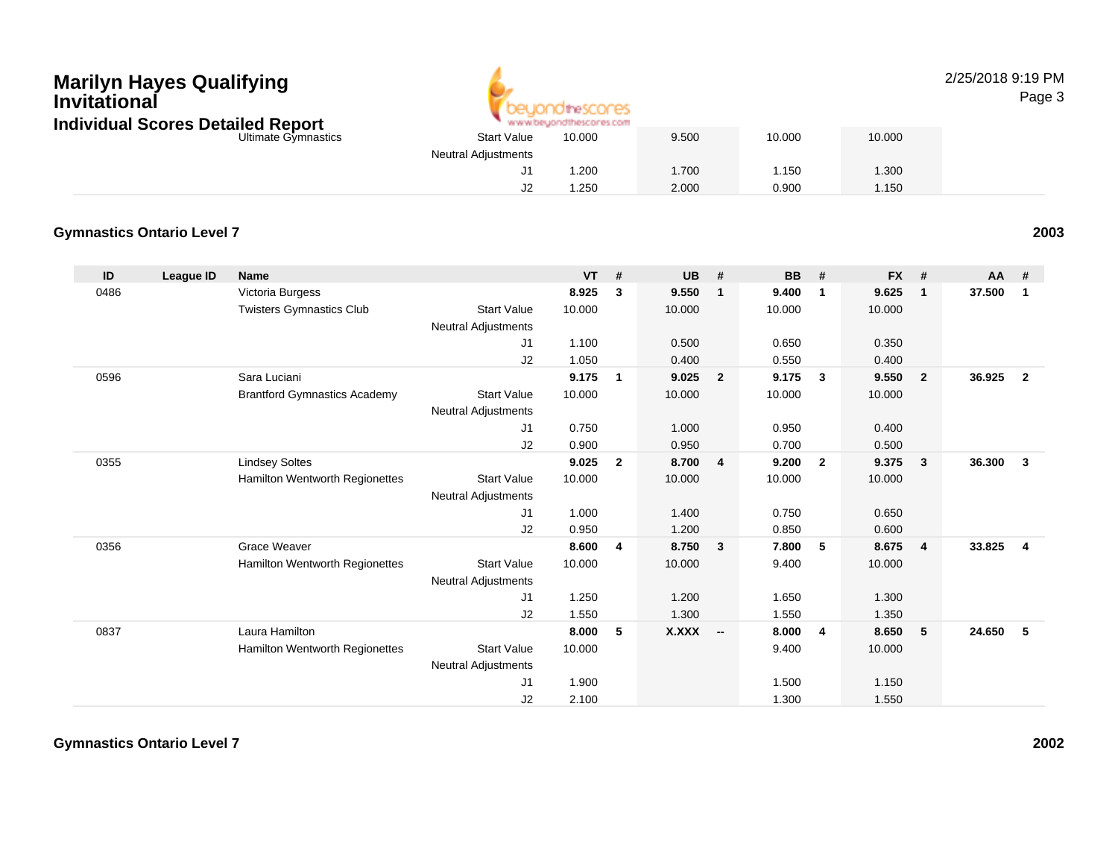# **Marilyn Hayes Qualifying Invitational Individual Scores Detailed Report**



#### 2/25/2018 9:19 PMPage 3

| lividual Scores Detailed Report |                            | www.beyondthescores.com |       |        |        |
|---------------------------------|----------------------------|-------------------------|-------|--------|--------|
| Ultimate Gymnastics             | <b>Start Value</b>         | 10.000                  | 9.500 | 10.000 | 10.000 |
|                                 | <b>Neutral Adjustments</b> |                         |       |        |        |
|                                 |                            | 1.200                   | .700  | 1.150  | 1.300  |
|                                 | J2                         | 1.250                   | 2.000 | 0.900  | 1.150  |

#### **Gymnastics Ontario Level 7**

| ID   | League ID | <b>Name</b>                         |                            | <b>VT</b> | #              | <b>UB</b> | #                       | <b>BB</b> | #                       | <b>FX</b> | #              | $AA$ # |                |
|------|-----------|-------------------------------------|----------------------------|-----------|----------------|-----------|-------------------------|-----------|-------------------------|-----------|----------------|--------|----------------|
| 0486 |           | Victoria Burgess                    |                            | 8.925     | 3              | 9.550     | $\mathbf{1}$            | 9.400     | $\overline{\mathbf{1}}$ | 9.625     | $\mathbf 1$    | 37.500 | $\mathbf{1}$   |
|      |           | <b>Twisters Gymnastics Club</b>     | <b>Start Value</b>         | 10.000    |                | 10.000    |                         | 10.000    |                         | 10.000    |                |        |                |
|      |           |                                     | <b>Neutral Adjustments</b> |           |                |           |                         |           |                         |           |                |        |                |
|      |           |                                     | J1                         | 1.100     |                | 0.500     |                         | 0.650     |                         | 0.350     |                |        |                |
|      |           |                                     | J2                         | 1.050     |                | 0.400     |                         | 0.550     |                         | 0.400     |                |        |                |
| 0596 |           | Sara Luciani                        |                            | 9.175     | 1              | 9.025     | $\overline{\mathbf{2}}$ | 9.175     | $\mathbf{3}$            | 9.550     | $\mathbf{2}$   | 36.925 | $\overline{2}$ |
|      |           | <b>Brantford Gymnastics Academy</b> | <b>Start Value</b>         | 10.000    |                | 10.000    |                         | 10.000    |                         | 10.000    |                |        |                |
|      |           |                                     | <b>Neutral Adjustments</b> |           |                |           |                         |           |                         |           |                |        |                |
|      |           |                                     | J1                         | 0.750     |                | 1.000     |                         | 0.950     |                         | 0.400     |                |        |                |
|      |           |                                     | J2                         | 0.900     |                | 0.950     |                         | 0.700     |                         | 0.500     |                |        |                |
| 0355 |           | <b>Lindsey Soltes</b>               |                            | 9.025     | $\mathbf{2}$   | 8.700     | $\overline{4}$          | 9.200     | $\overline{\mathbf{2}}$ | 9.375     | 3              | 36.300 | $\mathbf{3}$   |
|      |           | Hamilton Wentworth Regionettes      | <b>Start Value</b>         | 10.000    |                | 10.000    |                         | 10.000    |                         | 10.000    |                |        |                |
|      |           |                                     | <b>Neutral Adjustments</b> |           |                |           |                         |           |                         |           |                |        |                |
|      |           |                                     | J1                         | 1.000     |                | 1.400     |                         | 0.750     |                         | 0.650     |                |        |                |
|      |           |                                     | J2                         | 0.950     |                | 1.200     |                         | 0.850     |                         | 0.600     |                |        |                |
| 0356 |           | <b>Grace Weaver</b>                 |                            | 8.600     | $\overline{4}$ | 8.750     | $\overline{\mathbf{3}}$ | 7.800     | 5                       | 8.675     | $\overline{4}$ | 33.825 | $\overline{4}$ |
|      |           | Hamilton Wentworth Regionettes      | <b>Start Value</b>         | 10.000    |                | 10.000    |                         | 9.400     |                         | 10.000    |                |        |                |
|      |           |                                     | <b>Neutral Adjustments</b> |           |                |           |                         |           |                         |           |                |        |                |
|      |           |                                     | J1                         | 1.250     |                | 1.200     |                         | 1.650     |                         | 1.300     |                |        |                |
|      |           |                                     | J2                         | 1.550     |                | 1.300     |                         | 1.550     |                         | 1.350     |                |        |                |
| 0837 |           | Laura Hamilton                      |                            | 8.000     | 5              | X.XXX     | $\sim$                  | 8.000     | $\overline{4}$          | 8.650     | 5              | 24.650 | -5             |
|      |           | Hamilton Wentworth Regionettes      | <b>Start Value</b>         | 10.000    |                |           |                         | 9.400     |                         | 10.000    |                |        |                |
|      |           |                                     | <b>Neutral Adjustments</b> |           |                |           |                         |           |                         |           |                |        |                |
|      |           |                                     | J1                         | 1.900     |                |           |                         | 1.500     |                         | 1.150     |                |        |                |
|      |           |                                     | J2                         | 2.100     |                |           |                         | 1.300     |                         | 1.550     |                |        |                |

**Gymnastics Ontario Level 7**

**<sup>2003</sup>**

**<sup>2002</sup>**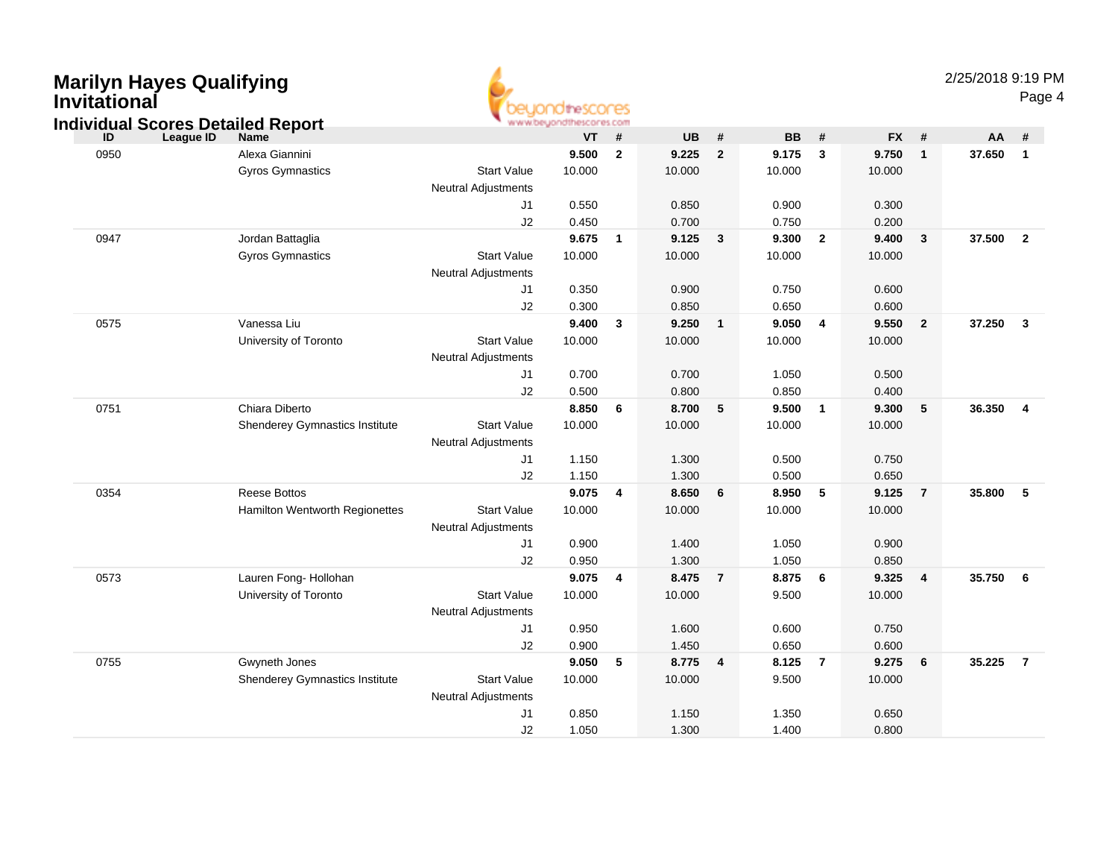| <b>Marilyn Hayes Qualifying</b><br>Invitational<br><b>Individual Scores Detailed Report</b> |                                                       |                                                              | www.beyondthescores.com           |                |                                   |                |                                   |                         |                                   |                | 2/25/2018 9:19 PM | Page 4                  |
|---------------------------------------------------------------------------------------------|-------------------------------------------------------|--------------------------------------------------------------|-----------------------------------|----------------|-----------------------------------|----------------|-----------------------------------|-------------------------|-----------------------------------|----------------|-------------------|-------------------------|
| <b>League ID</b><br>ID                                                                      | Name                                                  |                                                              | VT                                | #              | <b>UB</b>                         | #              | <b>BB</b>                         | #                       | <b>FX</b>                         | #              | AA                | #                       |
| 0950                                                                                        | Alexa Giannini<br><b>Gyros Gymnastics</b>             | <b>Start Value</b><br><b>Neutral Adjustments</b>             | 9.500<br>10.000                   | $\overline{2}$ | 9.225<br>10.000                   | $\overline{2}$ | 9.175<br>10.000                   | $\mathbf{3}$            | 9.750<br>10.000                   | $\mathbf{1}$   | 37.650            | $\overline{1}$          |
|                                                                                             |                                                       | J1<br>J2                                                     | 0.550<br>0.450                    |                | 0.850<br>0.700                    |                | 0.900<br>0.750                    |                         | 0.300<br>0.200                    |                |                   |                         |
| 0947                                                                                        | Jordan Battaglia<br>Gyros Gymnastics                  | <b>Start Value</b><br><b>Neutral Adjustments</b>             | 9.675<br>10.000                   | $\blacksquare$ | 9.125<br>10.000                   | $\mathbf{3}$   | 9.300<br>10.000                   | $\overline{2}$          | 9.400<br>10.000                   | $\mathbf{3}$   | 37.500            | $\overline{\mathbf{2}}$ |
|                                                                                             |                                                       | J1<br>J2                                                     | 0.350<br>0.300                    |                | 0.900<br>0.850                    |                | 0.750<br>0.650                    |                         | 0.600<br>0.600                    |                |                   |                         |
| 0575                                                                                        | Vanessa Liu<br>University of Toronto                  | <b>Start Value</b><br><b>Neutral Adjustments</b><br>J1       | 9.400<br>10.000<br>0.700          | 3              | 9.250<br>10.000<br>0.700          | $\mathbf{1}$   | 9.050<br>10.000<br>1.050          | $\overline{\mathbf{4}}$ | 9.550<br>10.000<br>0.500          | $\overline{2}$ | 37.250            | $\overline{\mathbf{3}}$ |
|                                                                                             |                                                       | J2                                                           | 0.500                             |                | 0.800                             |                | 0.850                             |                         | 0.400                             |                |                   |                         |
| 0751                                                                                        | Chiara Diberto<br>Shenderey Gymnastics Institute      | <b>Start Value</b><br><b>Neutral Adjustments</b>             | 8.850<br>10.000                   | 6              | 8.700<br>10.000                   | 5              | 9.500<br>10.000                   | $\overline{\mathbf{1}}$ | 9.300<br>10.000                   | 5              | 36.350            | $\overline{4}$          |
|                                                                                             |                                                       | J1<br>J2                                                     | 1.150<br>1.150                    |                | 1.300<br>1.300                    |                | 0.500<br>0.500                    |                         | 0.750<br>0.650                    |                |                   |                         |
| 0354                                                                                        | <b>Reese Bottos</b><br>Hamilton Wentworth Regionettes | <b>Start Value</b><br><b>Neutral Adjustments</b><br>J1<br>J2 | 9.075<br>10.000<br>0.900<br>0.950 | 4              | 8.650<br>10.000<br>1.400<br>1.300 | 6              | 8.950<br>10.000<br>1.050<br>1.050 | 5                       | 9.125<br>10.000<br>0.900<br>0.850 | $\overline{7}$ | 35.800            | $-5$                    |
| 0573                                                                                        | Lauren Fong- Hollohan<br>University of Toronto        | <b>Start Value</b><br><b>Neutral Adjustments</b>             | 9.075<br>10.000                   | $\overline{4}$ | 8.475<br>10.000                   | $\overline{7}$ | 8.875<br>9.500                    | 6                       | 9.325<br>10.000                   | $\overline{4}$ | 35.750 6          |                         |
|                                                                                             |                                                       | J1<br>J2                                                     | 0.950<br>0.900                    |                | 1.600<br>1.450                    |                | 0.600<br>0.650                    |                         | 0.750<br>0.600                    |                |                   |                         |
| 0755                                                                                        | Gwyneth Jones<br>Shenderey Gymnastics Institute       | <b>Start Value</b><br><b>Neutral Adjustments</b>             | 9.050<br>10.000                   | 5              | 8.775<br>10.000                   | $\overline{4}$ | 8.125<br>9.500                    | $\overline{7}$          | 9.275<br>10.000                   | 6              | 35.225            | $\overline{7}$          |
|                                                                                             |                                                       | J1<br>J2                                                     | 0.850<br>1.050                    |                | 1.150<br>1.300                    |                | 1.350<br>1.400                    |                         | 0.650<br>0.800                    |                |                   |                         |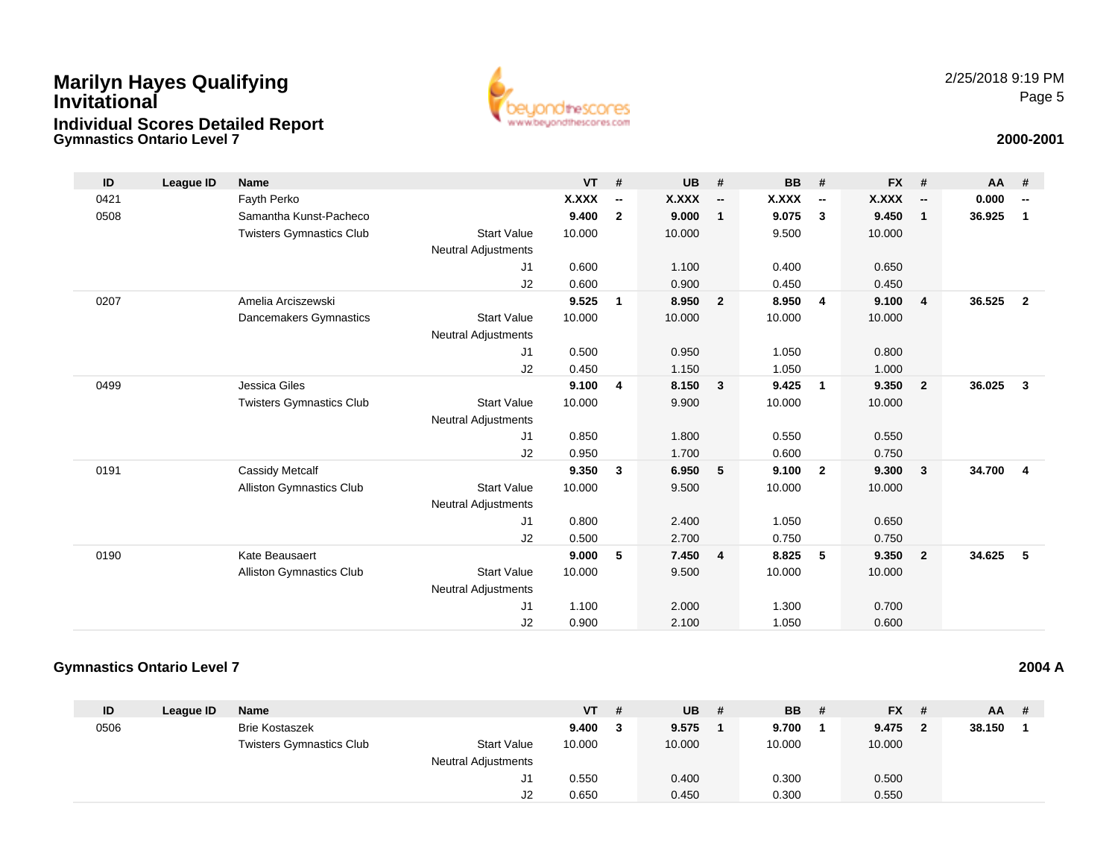### **Gymnastics Ontario Level 7Marilyn Hayes Qualifying InvitationalIndividual Scores Detailed Report**



### **2000-2001**

| ID   | League ID | <b>Name</b>                     |                            | $VT$ # |                          | <b>UB</b> | #                        | <b>BB</b> | #                        | <b>FX</b> | #                        | AA     | #                        |
|------|-----------|---------------------------------|----------------------------|--------|--------------------------|-----------|--------------------------|-----------|--------------------------|-----------|--------------------------|--------|--------------------------|
| 0421 |           | Fayth Perko                     |                            | X.XXX  | $\overline{\phantom{a}}$ | X.XXX     | $\overline{\phantom{a}}$ | X.XXX     | $\overline{\phantom{a}}$ | X.XXX     | $\overline{\phantom{a}}$ | 0.000  | $\overline{\phantom{a}}$ |
| 0508 |           | Samantha Kunst-Pacheco          |                            | 9.400  | $\overline{2}$           | 9.000     | $\mathbf{1}$             | 9.075     | 3                        | 9.450     | $\mathbf{1}$             | 36.925 | 1                        |
|      |           | <b>Twisters Gymnastics Club</b> | <b>Start Value</b>         | 10.000 |                          | 10.000    |                          | 9.500     |                          | 10.000    |                          |        |                          |
|      |           |                                 | Neutral Adjustments        |        |                          |           |                          |           |                          |           |                          |        |                          |
|      |           |                                 | J1                         | 0.600  |                          | 1.100     |                          | 0.400     |                          | 0.650     |                          |        |                          |
|      |           |                                 | J2                         | 0.600  |                          | 0.900     |                          | 0.450     |                          | 0.450     |                          |        |                          |
| 0207 |           | Amelia Arciszewski              |                            | 9.525  | 1                        | 8.950     | $\overline{2}$           | 8.950     | $\overline{4}$           | 9.100     | $\overline{4}$           | 36.525 | $\overline{2}$           |
|      |           | Dancemakers Gymnastics          | <b>Start Value</b>         | 10.000 |                          | 10.000    |                          | 10.000    |                          | 10.000    |                          |        |                          |
|      |           |                                 | Neutral Adjustments        |        |                          |           |                          |           |                          |           |                          |        |                          |
|      |           |                                 | J1                         | 0.500  |                          | 0.950     |                          | 1.050     |                          | 0.800     |                          |        |                          |
|      |           |                                 | J2                         | 0.450  |                          | 1.150     |                          | 1.050     |                          | 1.000     |                          |        |                          |
| 0499 |           | Jessica Giles                   |                            | 9.100  | $\overline{4}$           | 8.150     | $\overline{\mathbf{3}}$  | 9.425     | $\overline{1}$           | 9.350     | $\overline{\mathbf{2}}$  | 36.025 | $\mathbf{3}$             |
|      |           | <b>Twisters Gymnastics Club</b> | <b>Start Value</b>         | 10.000 |                          | 9.900     |                          | 10.000    |                          | 10.000    |                          |        |                          |
|      |           |                                 | <b>Neutral Adjustments</b> |        |                          |           |                          |           |                          |           |                          |        |                          |
|      |           |                                 | J1                         | 0.850  |                          | 1.800     |                          | 0.550     |                          | 0.550     |                          |        |                          |
|      |           |                                 | J2                         | 0.950  |                          | 1.700     |                          | 0.600     |                          | 0.750     |                          |        |                          |
| 0191 |           | Cassidy Metcalf                 |                            | 9.350  | 3                        | 6.950     | 5                        | 9.100     | $\overline{2}$           | 9.300     | $\mathbf{3}$             | 34.700 | $\overline{\mathbf{4}}$  |
|      |           | <b>Alliston Gymnastics Club</b> | <b>Start Value</b>         | 10.000 |                          | 9.500     |                          | 10.000    |                          | 10.000    |                          |        |                          |
|      |           |                                 | <b>Neutral Adjustments</b> |        |                          |           |                          |           |                          |           |                          |        |                          |
|      |           |                                 | J1                         | 0.800  |                          | 2.400     |                          | 1.050     |                          | 0.650     |                          |        |                          |
|      |           |                                 | J2                         | 0.500  |                          | 2.700     |                          | 0.750     |                          | 0.750     |                          |        |                          |
| 0190 |           | Kate Beausaert                  |                            | 9.000  | 5                        | 7.450     | $\overline{4}$           | 8.825     | 5                        | 9.350     | $\overline{\mathbf{2}}$  | 34.625 | 5                        |
|      |           | <b>Alliston Gymnastics Club</b> | <b>Start Value</b>         | 10.000 |                          | 9.500     |                          | 10.000    |                          | 10.000    |                          |        |                          |
|      |           |                                 | <b>Neutral Adjustments</b> |        |                          |           |                          |           |                          |           |                          |        |                          |
|      |           |                                 | J <sub>1</sub>             | 1.100  |                          | 2.000     |                          | 1.300     |                          | 0.700     |                          |        |                          |
|      |           |                                 | J2                         | 0.900  |                          | 2.100     |                          | 1.050     |                          | 0.600     |                          |        |                          |

#### **Gymnastics Ontario Level 7**

| ID   | League ID | <b>Name</b>                     |                            | <b>VT</b> | -# | <b>UB</b> | # | <b>BB</b> | # | <b>FX</b> | $AA$ # |  |
|------|-----------|---------------------------------|----------------------------|-----------|----|-----------|---|-----------|---|-----------|--------|--|
| 0506 |           | <b>Brie Kostaszek</b>           |                            | 9.400     |    | 9.575     |   | 9.700     |   | 9.475     | 38.150 |  |
|      |           | <b>Twisters Gymnastics Club</b> | <b>Start Value</b>         | 10.000    |    | 10.000    |   | 10.000    |   | 10.000    |        |  |
|      |           |                                 | <b>Neutral Adjustments</b> |           |    |           |   |           |   |           |        |  |
|      |           |                                 | J1                         | 0.550     |    | 0.400     |   | 0.300     |   | 0.500     |        |  |
|      |           |                                 | J2                         | 0.650     |    | 0.450     |   | 0.300     |   | 0.550     |        |  |

**2004 A**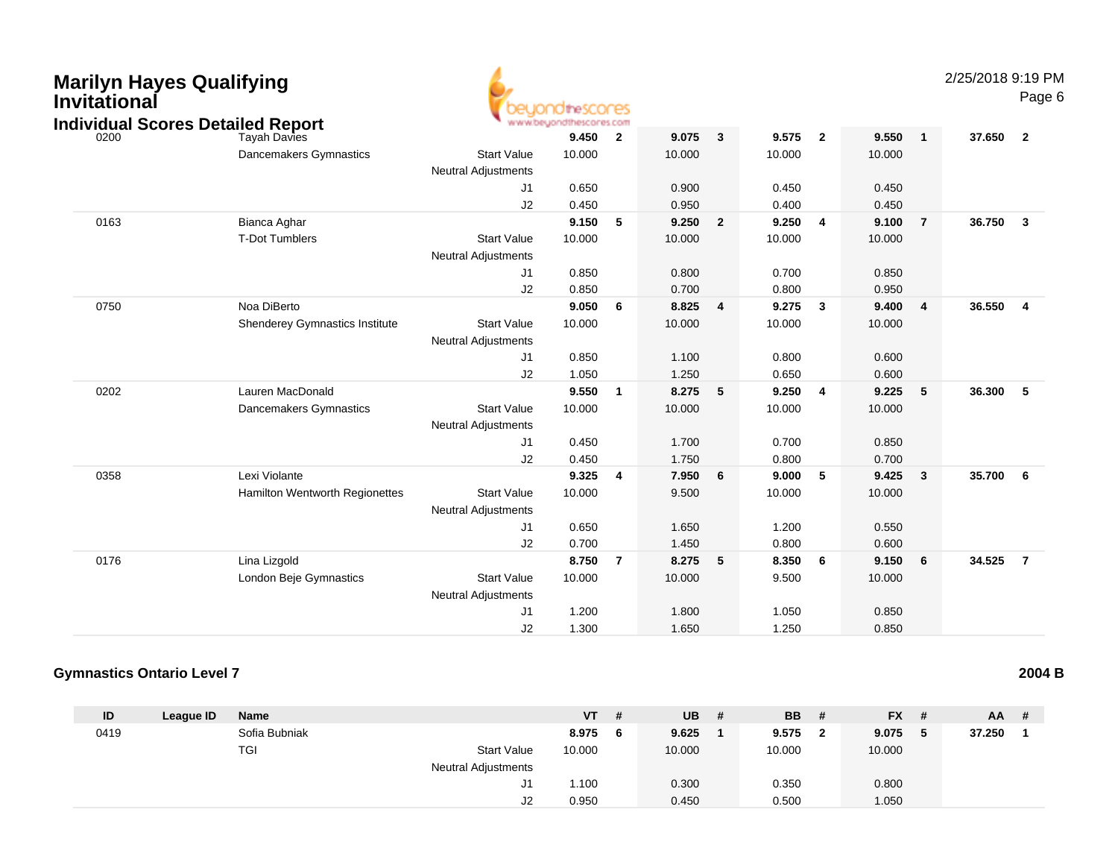| Invitational | <b>Marilyn Hayes Qualifying</b>                          |                            | idthescores                      |                 |        |                         |        |                         |        |                | 2/25/2018 9:19 PM | Page 6                  |
|--------------|----------------------------------------------------------|----------------------------|----------------------------------|-----------------|--------|-------------------------|--------|-------------------------|--------|----------------|-------------------|-------------------------|
| 0200         | <b>Individual Scores Detailed Report</b><br>Tayah Davies |                            | www.beyondthescores.com<br>9.450 | $\overline{2}$  | 9.075  | $\mathbf{3}$            | 9.575  | $\overline{2}$          | 9.550  | $\mathbf{1}$   | 37.650            | $\overline{2}$          |
|              | Dancemakers Gymnastics                                   | <b>Start Value</b>         | 10.000                           |                 | 10.000 |                         | 10.000 |                         | 10.000 |                |                   |                         |
|              |                                                          | <b>Neutral Adjustments</b> |                                  |                 |        |                         |        |                         |        |                |                   |                         |
|              |                                                          | J1                         | 0.650                            |                 | 0.900  |                         | 0.450  |                         | 0.450  |                |                   |                         |
|              |                                                          | J2                         | 0.450                            |                 | 0.950  |                         | 0.400  |                         | 0.450  |                |                   |                         |
| 0163         | Bianca Aghar                                             |                            | 9.150                            | $-5$            | 9.250  | $\overline{2}$          | 9.250  | $\overline{4}$          | 9.100  | $\overline{7}$ | 36.750            | $\overline{\mathbf{3}}$ |
|              | T-Dot Tumblers                                           | <b>Start Value</b>         | 10.000                           |                 | 10.000 |                         | 10.000 |                         | 10.000 |                |                   |                         |
|              |                                                          | Neutral Adjustments        |                                  |                 |        |                         |        |                         |        |                |                   |                         |
|              |                                                          | J1                         | 0.850                            |                 | 0.800  |                         | 0.700  |                         | 0.850  |                |                   |                         |
|              |                                                          | J2                         | 0.850                            |                 | 0.700  |                         | 0.800  |                         | 0.950  |                |                   |                         |
| 0750         | Noa DiBerto                                              |                            | 9.050                            | $6\overline{6}$ | 8.825  | $\overline{\mathbf{4}}$ | 9.275  | $\overline{\mathbf{3}}$ | 9.400  | $\overline{4}$ | 36.550            | $\overline{4}$          |
|              | Shenderey Gymnastics Institute                           | <b>Start Value</b>         | 10.000                           |                 | 10.000 |                         | 10.000 |                         | 10.000 |                |                   |                         |
|              |                                                          | <b>Neutral Adjustments</b> |                                  |                 |        |                         |        |                         |        |                |                   |                         |
|              |                                                          | J1                         | 0.850                            |                 | 1.100  |                         | 0.800  |                         | 0.600  |                |                   |                         |
|              |                                                          | J2                         | 1.050                            |                 | 1.250  |                         | 0.650  |                         | 0.600  |                |                   |                         |
| 0202         | Lauren MacDonald                                         |                            | 9.550                            | $\overline{1}$  | 8.275  | 5                       | 9.250  | $\overline{4}$          | 9.225  | 5              | 36,300            | -5                      |
|              | Dancemakers Gymnastics                                   | <b>Start Value</b>         | 10.000                           |                 | 10.000 |                         | 10.000 |                         | 10.000 |                |                   |                         |
|              |                                                          | <b>Neutral Adjustments</b> |                                  |                 |        |                         |        |                         |        |                |                   |                         |
|              |                                                          | J1                         | 0.450                            |                 | 1.700  |                         | 0.700  |                         | 0.850  |                |                   |                         |
|              |                                                          | J2                         | 0.450                            |                 | 1.750  |                         | 0.800  |                         | 0.700  |                |                   |                         |
| 0358         | Lexi Violante                                            |                            | 9.325                            | $\overline{4}$  | 7.950  | $6\phantom{1}6$         | 9.000  | 5                       | 9.425  | $\mathbf{3}$   | 35.700            | 6                       |
|              | Hamilton Wentworth Regionettes                           | <b>Start Value</b>         | 10.000                           |                 | 9.500  |                         | 10.000 |                         | 10.000 |                |                   |                         |
|              |                                                          | <b>Neutral Adjustments</b> |                                  |                 |        |                         |        |                         |        |                |                   |                         |
|              |                                                          | J1                         | 0.650                            |                 | 1.650  |                         | 1.200  |                         | 0.550  |                |                   |                         |
|              |                                                          | J2                         | 0.700                            |                 | 1.450  |                         | 0.800  |                         | 0.600  |                |                   |                         |
| 0176         | Lina Lizgold                                             |                            | 8.750                            | $\overline{7}$  | 8.275  | 5                       | 8.350  | 6                       | 9.150  | 6              | 34.525            | $\overline{7}$          |
|              | London Beje Gymnastics                                   | <b>Start Value</b>         | 10.000                           |                 | 10.000 |                         | 9.500  |                         | 10.000 |                |                   |                         |
|              |                                                          | Neutral Adjustments        |                                  |                 |        |                         |        |                         |        |                |                   |                         |
|              |                                                          | J1                         | 1.200                            |                 | 1.800  |                         | 1.050  |                         | 0.850  |                |                   |                         |
|              |                                                          | J2                         | 1.300                            |                 | 1.650  |                         | 1.250  |                         | 0.850  |                |                   |                         |

#### **Gymnastics Ontario Level 72004 B**

| ID   | League ID | <b>Name</b>   |                            | <b>VT</b> | #  | <b>UB</b> | # | <b>BB</b> | #            | <b>FX</b> | # | $AA$ # |  |
|------|-----------|---------------|----------------------------|-----------|----|-----------|---|-----------|--------------|-----------|---|--------|--|
| 0419 |           | Sofia Bubniak |                            | 8.975     | -6 | 9.625     |   | 9.575     | $\mathbf{2}$ | 9.075     | 5 | 37.250 |  |
|      |           | TGI           | <b>Start Value</b>         | 10.000    |    | 10.000    |   | 10.000    |              | 10.000    |   |        |  |
|      |           |               | <b>Neutral Adjustments</b> |           |    |           |   |           |              |           |   |        |  |
|      |           |               | J1                         | 1.100     |    | 0.300     |   | 0.350     |              | 0.800     |   |        |  |
|      |           |               | J2                         | 0.950     |    | 0.450     |   | 0.500     |              | .050      |   |        |  |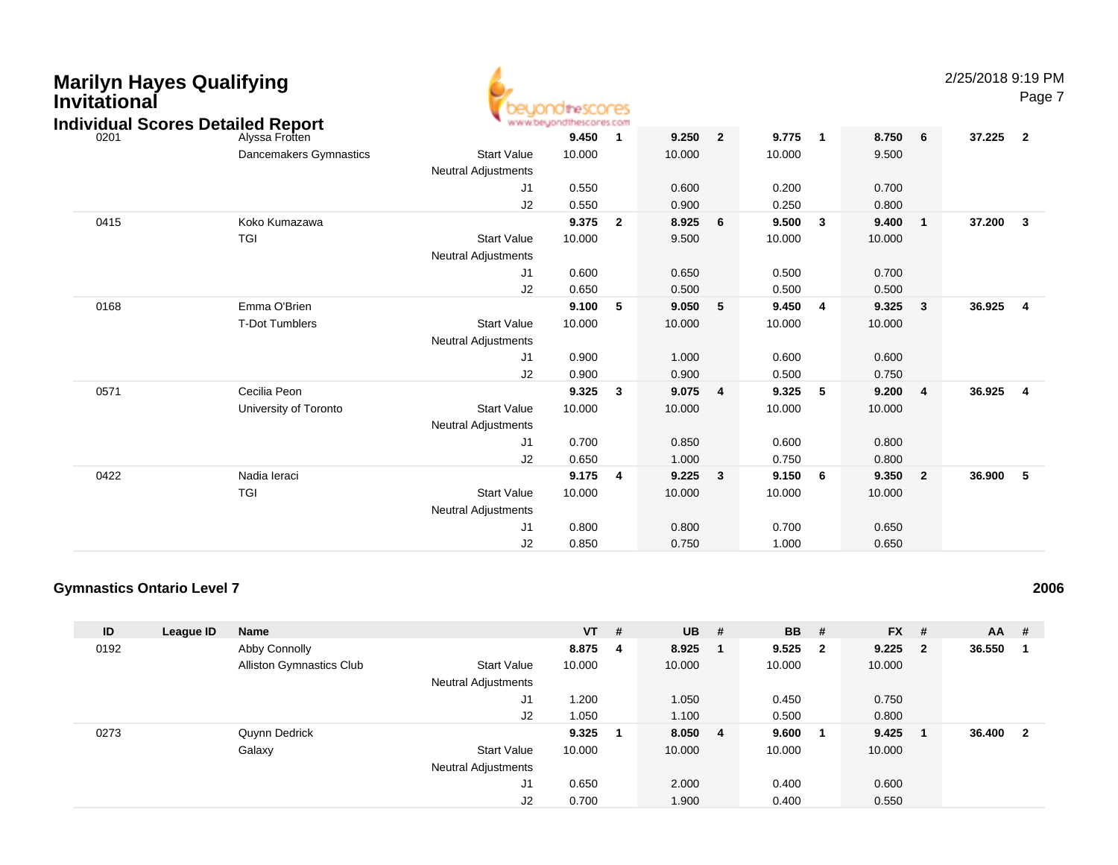| <b>Marilyn Hayes Qualifying</b><br><b>Invitational</b><br><b>Individual Scores Detailed Report</b> |                        |                                                  | peuondithescores<br>www.beyondthescores.com |                         |        |                |        |                |         |                | 2/25/2018 9:19 PM | Page 7                  |
|----------------------------------------------------------------------------------------------------|------------------------|--------------------------------------------------|---------------------------------------------|-------------------------|--------|----------------|--------|----------------|---------|----------------|-------------------|-------------------------|
| 0201                                                                                               | Alyssa Frotten         |                                                  | 9.450                                       | $\mathbf{1}$            | 9.250  | $\overline{2}$ | 9.775  | $\overline{1}$ | 8.750 6 |                | 37.225            | $\overline{\mathbf{2}}$ |
|                                                                                                    | Dancemakers Gymnastics | <b>Start Value</b><br><b>Neutral Adjustments</b> | 10.000                                      |                         | 10.000 |                | 10.000 |                | 9.500   |                |                   |                         |
|                                                                                                    |                        | J1                                               | 0.550                                       |                         | 0.600  |                | 0.200  |                | 0.700   |                |                   |                         |
|                                                                                                    |                        | J2                                               | 0.550                                       |                         | 0.900  |                | 0.250  |                | 0.800   |                |                   |                         |
| 0415                                                                                               | Koko Kumazawa          |                                                  | 9.375                                       | $\overline{\mathbf{2}}$ | 8.925  | 6              | 9.500  | $\mathbf{3}$   | 9.400   | $\mathbf{1}$   | 37.200            | $\mathbf{3}$            |
|                                                                                                    | <b>TGI</b>             | <b>Start Value</b><br><b>Neutral Adjustments</b> | 10.000                                      |                         | 9.500  |                | 10.000 |                | 10.000  |                |                   |                         |
|                                                                                                    |                        | J1                                               | 0.600                                       |                         | 0.650  |                | 0.500  |                | 0.700   |                |                   |                         |
|                                                                                                    |                        | J2                                               | 0.650                                       |                         | 0.500  |                | 0.500  |                | 0.500   |                |                   |                         |
| 0168                                                                                               | Emma O'Brien           |                                                  | 9.100                                       | 5                       | 9.050  | 5              | 9.450  | $\overline{4}$ | 9.325   | $\mathbf{3}$   | 36.925            | $\overline{4}$          |
|                                                                                                    | <b>T-Dot Tumblers</b>  | <b>Start Value</b>                               | 10.000                                      |                         | 10.000 |                | 10.000 |                | 10.000  |                |                   |                         |
|                                                                                                    |                        | <b>Neutral Adjustments</b>                       |                                             |                         |        |                |        |                |         |                |                   |                         |
|                                                                                                    |                        | J1                                               | 0.900                                       |                         | 1.000  |                | 0.600  |                | 0.600   |                |                   |                         |
|                                                                                                    |                        | J2                                               | 0.900                                       |                         | 0.900  |                | 0.500  |                | 0.750   |                |                   |                         |
| 0571                                                                                               | Cecilia Peon           |                                                  | 9.325                                       | $\overline{\mathbf{3}}$ | 9.075  | $\overline{4}$ | 9.325  | - 5            | 9.200   | $\overline{4}$ | 36.925            | $\overline{4}$          |
|                                                                                                    | University of Toronto  | <b>Start Value</b>                               | 10.000                                      |                         | 10.000 |                | 10.000 |                | 10.000  |                |                   |                         |
|                                                                                                    |                        | <b>Neutral Adjustments</b>                       |                                             |                         |        |                |        |                |         |                |                   |                         |
|                                                                                                    |                        | J1                                               | 0.700                                       |                         | 0.850  |                | 0.600  |                | 0.800   |                |                   |                         |
|                                                                                                    |                        | J2                                               | 0.650                                       |                         | 1.000  |                | 0.750  |                | 0.800   |                |                   |                         |
| 0422                                                                                               | Nadia Ieraci           |                                                  | 9.175                                       | $\overline{4}$          | 9.225  | 3              | 9.150  | - 6            | 9.350   | $\overline{2}$ | 36.900            | - 5                     |
|                                                                                                    | <b>TGI</b>             | <b>Start Value</b>                               | 10.000                                      |                         | 10.000 |                | 10.000 |                | 10.000  |                |                   |                         |
|                                                                                                    |                        | <b>Neutral Adjustments</b>                       |                                             |                         |        |                |        |                |         |                |                   |                         |
|                                                                                                    |                        | J1                                               | 0.800                                       |                         | 0.800  |                | 0.700  |                | 0.650   |                |                   |                         |
|                                                                                                    |                        | J2                                               | 0.850                                       |                         | 0.750  |                | 1.000  |                | 0.650   |                |                   |                         |

### **Gymnastics Ontario Level 7**

| ID   | League ID | <b>Name</b>                     |                            | $VT$ # |   | $UB$ # |    | <b>BB</b> | #                       | <b>FX</b> | #                       | $AA$ # |              |
|------|-----------|---------------------------------|----------------------------|--------|---|--------|----|-----------|-------------------------|-----------|-------------------------|--------|--------------|
| 0192 |           | Abby Connolly                   |                            | 8.875  | 4 | 8.925  |    | 9.525     | $\overline{\mathbf{2}}$ | 9.225     | $\overline{\mathbf{2}}$ | 36.550 |              |
|      |           | <b>Alliston Gymnastics Club</b> | <b>Start Value</b>         | 10.000 |   | 10.000 |    | 10.000    |                         | 10.000    |                         |        |              |
|      |           |                                 | <b>Neutral Adjustments</b> |        |   |        |    |           |                         |           |                         |        |              |
|      |           |                                 | J <sub>1</sub>             | 1.200  |   | 1.050  |    | 0.450     |                         | 0.750     |                         |        |              |
|      |           |                                 | J2                         | 1.050  |   | 1.100  |    | 0.500     |                         | 0.800     |                         |        |              |
| 0273 |           | Quynn Dedrick                   |                            | 9.325  |   | 8.050  | -4 | 9.600     | - 1                     | 9.425     | -1                      | 36.400 | $\mathbf{2}$ |
|      |           | Galaxy                          | <b>Start Value</b>         | 10.000 |   | 10.000 |    | 10.000    |                         | 10.000    |                         |        |              |
|      |           |                                 | <b>Neutral Adjustments</b> |        |   |        |    |           |                         |           |                         |        |              |
|      |           |                                 | J <sub>1</sub>             | 0.650  |   | 2.000  |    | 0.400     |                         | 0.600     |                         |        |              |
|      |           |                                 | J2                         | 0.700  |   | 1.900  |    | 0.400     |                         | 0.550     |                         |        |              |

**<sup>2006</sup>**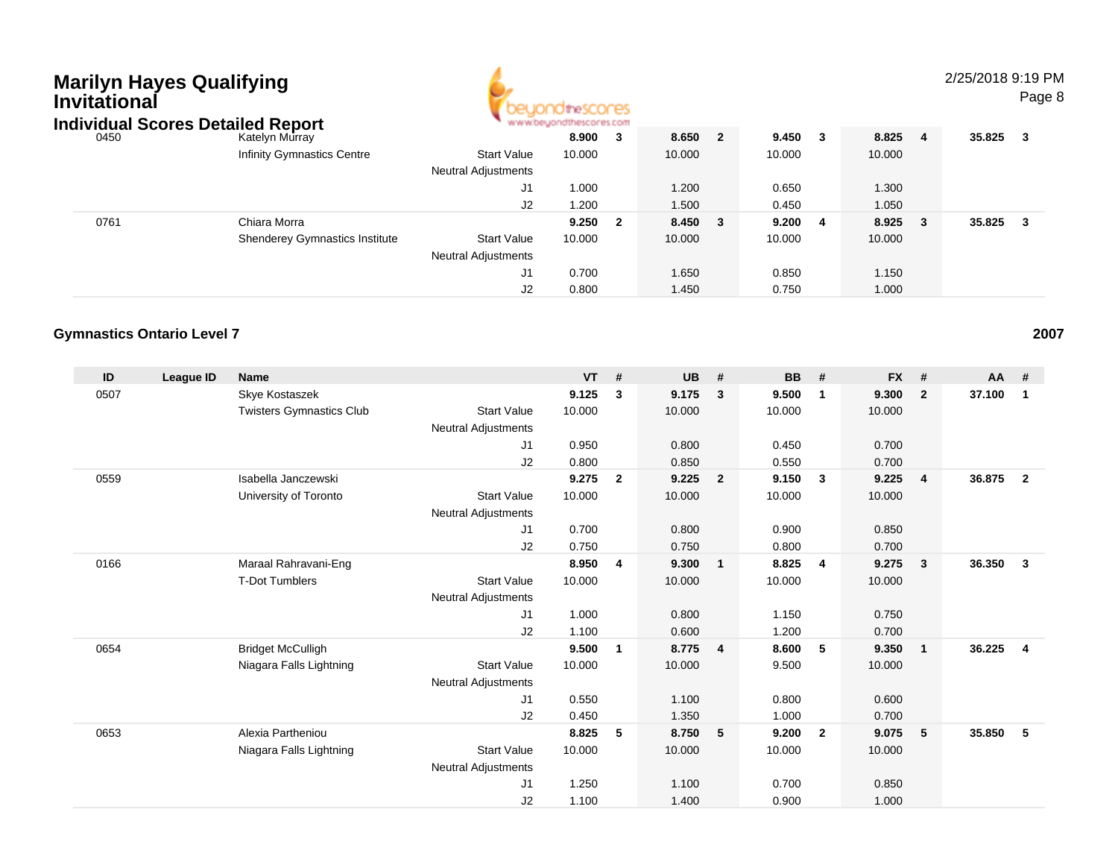| Marilyn Hayes Qualifying<br>Invitational<br><b>Individual Scores Detailed Report</b> |                                       | ondthescores                                     | 2/25/2018 9:19 PM<br>Page 8 |     |        |                |        |     |         |   |        |     |
|--------------------------------------------------------------------------------------|---------------------------------------|--------------------------------------------------|-----------------------------|-----|--------|----------------|--------|-----|---------|---|--------|-----|
| 0450                                                                                 | Katelyn Murray                        |                                                  | 8.900                       | - 3 | 8.650  | $\overline{2}$ | 9.450  | - 3 | 8.825   | 4 | 35.825 | - 3 |
|                                                                                      | <b>Infinity Gymnastics Centre</b>     | <b>Start Value</b>                               | 10.000                      |     | 10.000 |                | 10.000 |     | 10.000  |   |        |     |
|                                                                                      |                                       | <b>Neutral Adjustments</b>                       |                             |     |        |                |        |     |         |   |        |     |
|                                                                                      |                                       | J1                                               | 1.000                       |     | 1.200  |                | 0.650  |     | 1.300   |   |        |     |
|                                                                                      |                                       | J2                                               | 1.200                       |     | 1.500  |                | 0.450  |     | 1.050   |   |        |     |
| 0761                                                                                 | Chiara Morra                          |                                                  | 9.250                       | - 2 | 8.450  | - 3            | 9.200  | - 4 | 8.925 3 |   | 35.825 | - 3 |
|                                                                                      | <b>Shenderey Gymnastics Institute</b> | <b>Start Value</b><br><b>Neutral Adjustments</b> | 10.000                      |     | 10.000 |                | 10.000 |     | 10.000  |   |        |     |

J1

J2

0.700 1.650 0.850 1.150

0.800 1.450 0.750 1.000

#### **Gymnastics Ontario Level 7<sup>2007</sup>**

| ID   | League ID | <b>Name</b>                     |                            | <b>VT</b> | #              | <b>UB</b> | #                       | <b>BB</b> | #              | <b>FX</b> | #            | <b>AA</b> | #               |
|------|-----------|---------------------------------|----------------------------|-----------|----------------|-----------|-------------------------|-----------|----------------|-----------|--------------|-----------|-----------------|
| 0507 |           | Skye Kostaszek                  |                            | 9.125     | 3              | 9.175     | 3                       | 9.500     | $\overline{1}$ | 9.300     | $\mathbf{2}$ | 37.100    | 1               |
|      |           | <b>Twisters Gymnastics Club</b> | <b>Start Value</b>         | 10.000    |                | 10.000    |                         | 10.000    |                | 10.000    |              |           |                 |
|      |           |                                 | <b>Neutral Adjustments</b> |           |                |           |                         |           |                |           |              |           |                 |
|      |           |                                 | J1                         | 0.950     |                | 0.800     |                         | 0.450     |                | 0.700     |              |           |                 |
|      |           |                                 | J2                         | 0.800     |                | 0.850     |                         | 0.550     |                | 0.700     |              |           |                 |
| 0559 |           | Isabella Janczewski             |                            | 9.275     | $\overline{2}$ | 9.225     | $\overline{\mathbf{2}}$ | 9.150     | $\mathbf{3}$   | 9.225     | 4            | 36.875    | $\overline{2}$  |
|      |           | University of Toronto           | <b>Start Value</b>         | 10.000    |                | 10.000    |                         | 10.000    |                | 10.000    |              |           |                 |
|      |           |                                 | <b>Neutral Adjustments</b> |           |                |           |                         |           |                |           |              |           |                 |
|      |           |                                 | J1                         | 0.700     |                | 0.800     |                         | 0.900     |                | 0.850     |              |           |                 |
|      |           |                                 | J2                         | 0.750     |                | 0.750     |                         | 0.800     |                | 0.700     |              |           |                 |
| 0166 |           | Maraal Rahravani-Eng            |                            | 8.950     | 4              | 9.300     | $\overline{1}$          | 8.825     | $\overline{4}$ | 9.275     | $\mathbf{3}$ | 36.350    | $\mathbf{3}$    |
|      |           | <b>T-Dot Tumblers</b>           | <b>Start Value</b>         | 10.000    |                | 10.000    |                         | 10.000    |                | 10.000    |              |           |                 |
|      |           |                                 | <b>Neutral Adjustments</b> |           |                |           |                         |           |                |           |              |           |                 |
|      |           |                                 | J1                         | 1.000     |                | 0.800     |                         | 1.150     |                | 0.750     |              |           |                 |
|      |           |                                 | J2                         | 1.100     |                | 0.600     |                         | 1.200     |                | 0.700     |              |           |                 |
| 0654 |           | <b>Bridget McCulligh</b>        |                            | 9.500     | $\mathbf{1}$   | 8.775     | $\overline{4}$          | 8.600     | -5             | 9.350     | $\mathbf{1}$ | 36.225    | $\overline{4}$  |
|      |           | Niagara Falls Lightning         | <b>Start Value</b>         | 10.000    |                | 10.000    |                         | 9.500     |                | 10.000    |              |           |                 |
|      |           |                                 | <b>Neutral Adjustments</b> |           |                |           |                         |           |                |           |              |           |                 |
|      |           |                                 | J1                         | 0.550     |                | 1.100     |                         | 0.800     |                | 0.600     |              |           |                 |
|      |           |                                 | J2                         | 0.450     |                | 1.350     |                         | 1.000     |                | 0.700     |              |           |                 |
| 0653 |           | Alexia Partheniou               |                            | 8.825     | 5              | 8.750     | $-5$                    | 9.200     | $\overline{2}$ | 9.075     | $\sqrt{5}$   | 35.850    | $5\phantom{.0}$ |
|      |           | Niagara Falls Lightning         | <b>Start Value</b>         | 10.000    |                | 10.000    |                         | 10.000    |                | 10.000    |              |           |                 |
|      |           |                                 | <b>Neutral Adjustments</b> |           |                |           |                         |           |                |           |              |           |                 |
|      |           |                                 | J1                         | 1.250     |                | 1.100     |                         | 0.700     |                | 0.850     |              |           |                 |
|      |           |                                 | J2                         | 1.100     |                | 1.400     |                         | 0.900     |                | 1.000     |              |           |                 |